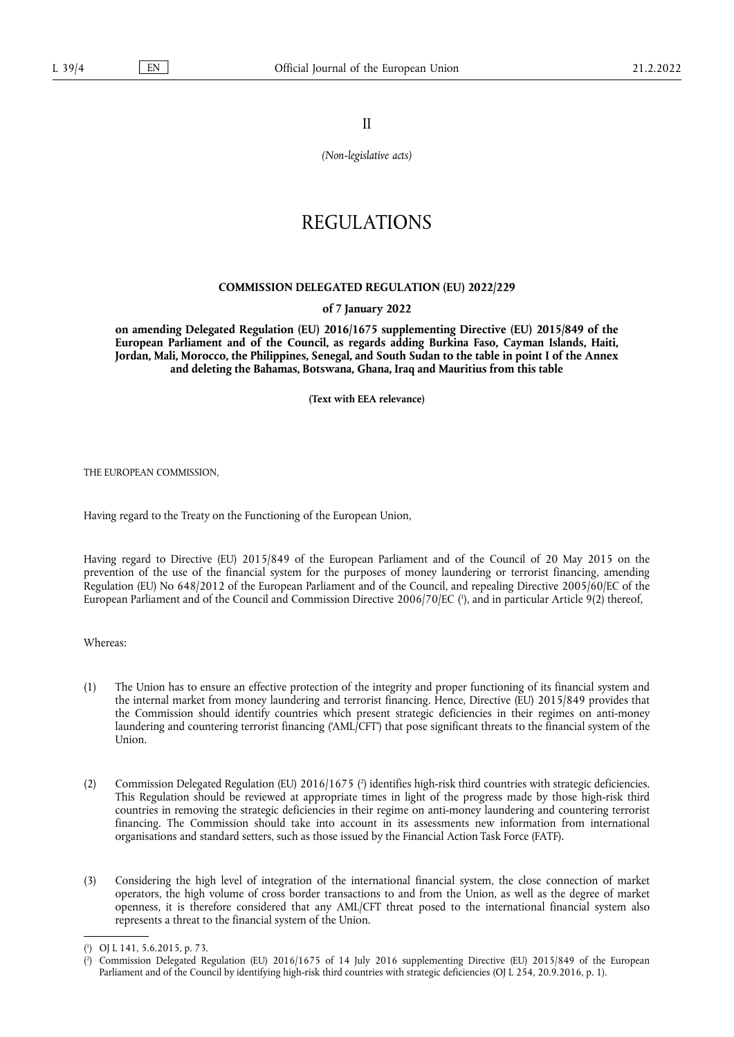II

*(Non-legislative acts)*

# REGULATIONS

# **COMMISSION DELEGATED REGULATION (EU) 2022/229**

# **of 7 January 2022**

**on amending Delegated Regulation (EU) 2016/1675 supplementing Directive (EU) 2015/849 of the European Parliament and of the Council, as regards adding Burkina Faso, Cayman Islands, Haiti, Jordan, Mali, Morocco, the Philippines, Senegal, and South Sudan to the table in point I of the Annex and deleting the Bahamas, Botswana, Ghana, Iraq and Mauritius from this table** 

**(Text with EEA relevance)** 

THE EUROPEAN COMMISSION,

Having regard to the Treaty on the Functioning of the European Union,

<span id="page-0-2"></span>Having regard to Directive (EU) 2015/849 of the European Parliament and of the Council of 20 May 2015 on the prevention of the use of the financial system for the purposes of money laundering or terrorist financing, amending Regulation (EU) No 648/2012 of the European Parliament and of the Council, and repealing Directive 2005/60/EC of the European Parliament and of the Council and Commission Directive 2006/70/EC ( 1 [\),](#page-0-0) and in particular Article 9(2) thereof,

Whereas:

- (1) The Union has to ensure an effective protection of the integrity and proper functioning of its financial system and the internal market from money laundering and terrorist financing. Hence, Directive (EU) 2015/849 provides that the Commission should identify countries which present strategic deficiencies in their regimes on anti-money laundering and countering terrorist financing ('AML/CFT') that pose significant threats to the financial system of the Union.
- <span id="page-0-3"></span>[\(](#page-0-1)2) Commission Delegated Regulation (EU) 2016/1675 (<sup>2</sup>) identifies high-risk third countries with strategic deficiencies. This Regulation should be reviewed at appropriate times in light of the progress made by those high-risk third countries in removing the strategic deficiencies in their regime on anti-money laundering and countering terrorist financing. The Commission should take into account in its assessments new information from international organisations and standard setters, such as those issued by the Financial Action Task Force (FATF).
- (3) Considering the high level of integration of the international financial system, the close connection of market operators, the high volume of cross border transactions to and from the Union, as well as the degree of market openness, it is therefore considered that any AML/CFT threat posed to the international financial system also represents a threat to the financial system of the Union.

<span id="page-0-0"></span>[<sup>\(</sup>](#page-0-2) 1 ) OJ L 141, 5.6.2015, p. 73.

<span id="page-0-1"></span>[<sup>\(</sup>](#page-0-3) 2 ) Commission Delegated Regulation (EU) 2016/1675 of 14 July 2016 supplementing Directive (EU) 2015/849 of the European Parliament and of the Council by identifying high-risk third countries with strategic deficiencies (OJ L 254, 20.9.2016, p. 1).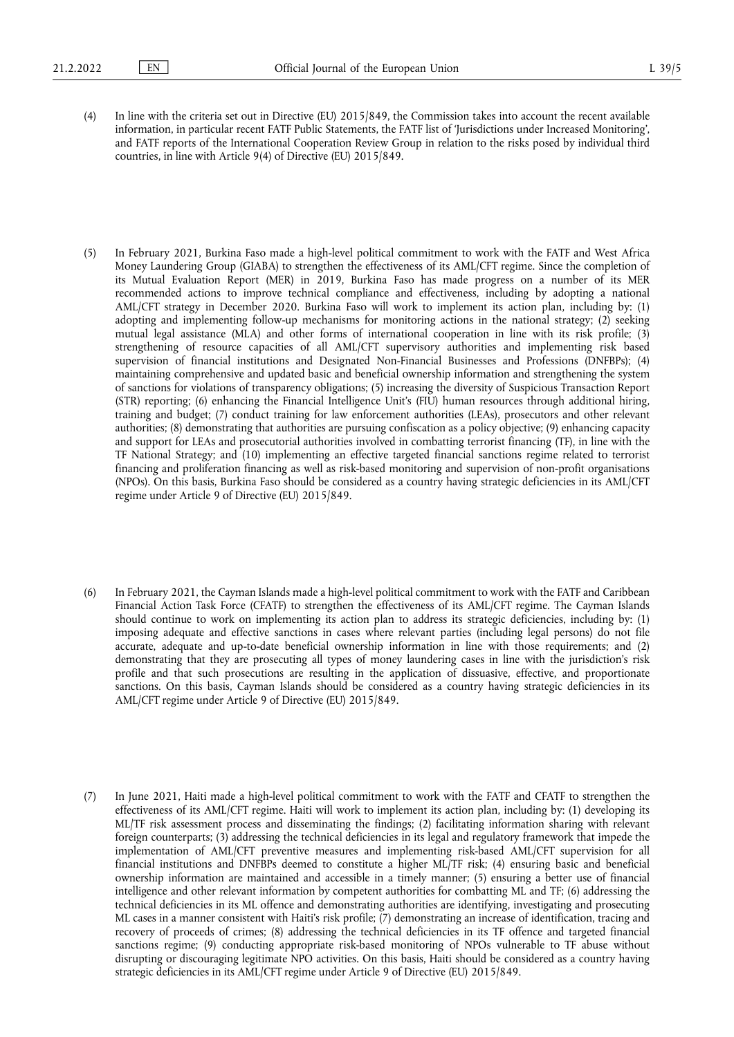- (4) In line with the criteria set out in Directive (EU) 2015/849, the Commission takes into account the recent available information, in particular recent FATF Public Statements, the FATF list of 'Jurisdictions under Increased Monitoring', and FATF reports of the International Cooperation Review Group in relation to the risks posed by individual third countries, in line with Article 9(4) of Directive (EU) 2015/849.
- (5) In February 2021, Burkina Faso made a high-level political commitment to work with the FATF and West Africa Money Laundering Group (GIABA) to strengthen the effectiveness of its AML/CFT regime. Since the completion of its Mutual Evaluation Report (MER) in 2019, Burkina Faso has made progress on a number of its MER recommended actions to improve technical compliance and effectiveness, including by adopting a national AML/CFT strategy in December 2020. Burkina Faso will work to implement its action plan, including by: (1) adopting and implementing follow-up mechanisms for monitoring actions in the national strategy; (2) seeking mutual legal assistance (MLA) and other forms of international cooperation in line with its risk profile; (3) strengthening of resource capacities of all AML/CFT supervisory authorities and implementing risk based supervision of financial institutions and Designated Non-Financial Businesses and Professions (DNFBPs); (4) maintaining comprehensive and updated basic and beneficial ownership information and strengthening the system of sanctions for violations of transparency obligations; (5) increasing the diversity of Suspicious Transaction Report (STR) reporting; (6) enhancing the Financial Intelligence Unit's (FIU) human resources through additional hiring, training and budget; (7) conduct training for law enforcement authorities (LEAs), prosecutors and other relevant authorities; (8) demonstrating that authorities are pursuing confiscation as a policy objective; (9) enhancing capacity and support for LEAs and prosecutorial authorities involved in combatting terrorist financing (TF), in line with the TF National Strategy; and (10) implementing an effective targeted financial sanctions regime related to terrorist financing and proliferation financing as well as risk-based monitoring and supervision of non-profit organisations (NPOs). On this basis, Burkina Faso should be considered as a country having strategic deficiencies in its AML/CFT regime under Article 9 of Directive (EU) 2015/849.
- (6) In February 2021, the Cayman Islands made a high-level political commitment to work with the FATF and Caribbean Financial Action Task Force (CFATF) to strengthen the effectiveness of its AML/CFT regime. The Cayman Islands should continue to work on implementing its action plan to address its strategic deficiencies, including by: (1) imposing adequate and effective sanctions in cases where relevant parties (including legal persons) do not file accurate, adequate and up-to-date beneficial ownership information in line with those requirements; and (2) demonstrating that they are prosecuting all types of money laundering cases in line with the jurisdiction's risk profile and that such prosecutions are resulting in the application of dissuasive, effective, and proportionate sanctions. On this basis, Cayman Islands should be considered as a country having strategic deficiencies in its AML/CFT regime under Article 9 of Directive (EU) 2015/849.
- (7) In June 2021, Haiti made a high-level political commitment to work with the FATF and CFATF to strengthen the effectiveness of its AML/CFT regime. Haiti will work to implement its action plan, including by: (1) developing its ML/TF risk assessment process and disseminating the findings; (2) facilitating information sharing with relevant foreign counterparts; (3) addressing the technical deficiencies in its legal and regulatory framework that impede the implementation of AML/CFT preventive measures and implementing risk-based AML/CFT supervision for all financial institutions and DNFBPs deemed to constitute a higher ML/TF risk; (4) ensuring basic and beneficial ownership information are maintained and accessible in a timely manner; (5) ensuring a better use of financial intelligence and other relevant information by competent authorities for combatting ML and TF; (6) addressing the technical deficiencies in its ML offence and demonstrating authorities are identifying, investigating and prosecuting ML cases in a manner consistent with Haiti's risk profile; (7) demonstrating an increase of identification, tracing and recovery of proceeds of crimes; (8) addressing the technical deficiencies in its TF offence and targeted financial sanctions regime; (9) conducting appropriate risk-based monitoring of NPOs vulnerable to TF abuse without disrupting or discouraging legitimate NPO activities. On this basis, Haiti should be considered as a country having strategic deficiencies in its AML/CFT regime under Article 9 of Directive (EU) 2015/849.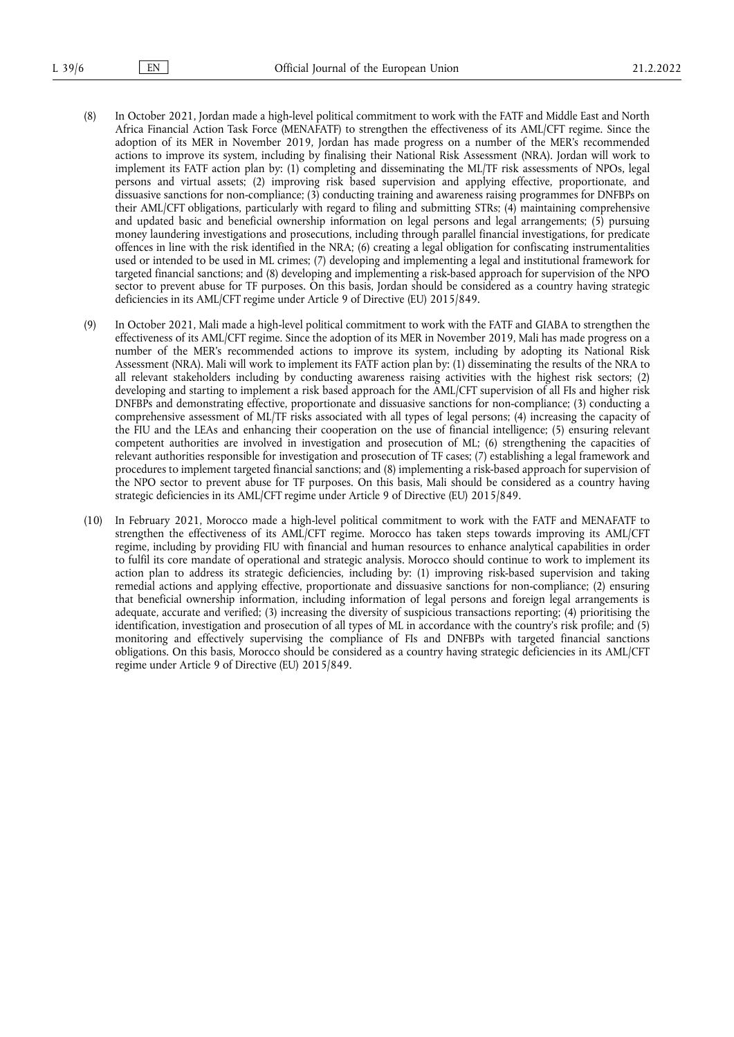- (8) In October 2021, Jordan made a high-level political commitment to work with the FATF and Middle East and North Africa Financial Action Task Force (MENAFATF) to strengthen the effectiveness of its AML/CFT regime. Since the adoption of its MER in November 2019, Jordan has made progress on a number of the MER's recommended actions to improve its system, including by finalising their National Risk Assessment (NRA). Jordan will work to implement its FATF action plan by: (1) completing and disseminating the ML/TF risk assessments of NPOs, legal persons and virtual assets; (2) improving risk based supervision and applying effective, proportionate, and dissuasive sanctions for non-compliance; (3) conducting training and awareness raising programmes for DNFBPs on their AML/CFT obligations, particularly with regard to filing and submitting STRs; (4) maintaining comprehensive and updated basic and beneficial ownership information on legal persons and legal arrangements; (5) pursuing money laundering investigations and prosecutions, including through parallel financial investigations, for predicate offences in line with the risk identified in the NRA; (6) creating a legal obligation for confiscating instrumentalities used or intended to be used in ML crimes; (7) developing and implementing a legal and institutional framework for targeted financial sanctions; and (8) developing and implementing a risk-based approach for supervision of the NPO sector to prevent abuse for TF purposes. On this basis, Jordan should be considered as a country having strategic deficiencies in its AML/CFT regime under Article 9 of Directive (EU) 2015/849.
- (9) In October 2021, Mali made a high-level political commitment to work with the FATF and GIABA to strengthen the effectiveness of its AML/CFT regime. Since the adoption of its MER in November 2019, Mali has made progress on a number of the MER's recommended actions to improve its system, including by adopting its National Risk Assessment (NRA). Mali will work to implement its FATF action plan by: (1) disseminating the results of the NRA to all relevant stakeholders including by conducting awareness raising activities with the highest risk sectors; (2) developing and starting to implement a risk based approach for the AML/CFT supervision of all FIs and higher risk DNFBPs and demonstrating effective, proportionate and dissuasive sanctions for non-compliance; (3) conducting a comprehensive assessment of ML/TF risks associated with all types of legal persons; (4) increasing the capacity of the FIU and the LEAs and enhancing their cooperation on the use of financial intelligence; (5) ensuring relevant competent authorities are involved in investigation and prosecution of ML; (6) strengthening the capacities of relevant authorities responsible for investigation and prosecution of TF cases; (7) establishing a legal framework and procedures to implement targeted financial sanctions; and (8) implementing a risk-based approach for supervision of the NPO sector to prevent abuse for TF purposes. On this basis, Mali should be considered as a country having strategic deficiencies in its AML/CFT regime under Article 9 of Directive (EU) 2015/849.
- (10) In February 2021, Morocco made a high-level political commitment to work with the FATF and MENAFATF to strengthen the effectiveness of its AML/CFT regime. Morocco has taken steps towards improving its AML/CFT regime, including by providing FIU with financial and human resources to enhance analytical capabilities in order to fulfil its core mandate of operational and strategic analysis. Morocco should continue to work to implement its action plan to address its strategic deficiencies, including by: (1) improving risk-based supervision and taking remedial actions and applying effective, proportionate and dissuasive sanctions for non-compliance; (2) ensuring that beneficial ownership information, including information of legal persons and foreign legal arrangements is adequate, accurate and verified; (3) increasing the diversity of suspicious transactions reporting; (4) prioritising the identification, investigation and prosecution of all types of ML in accordance with the country's risk profile; and (5) monitoring and effectively supervising the compliance of FIs and DNFBPs with targeted financial sanctions obligations. On this basis, Morocco should be considered as a country having strategic deficiencies in its AML/CFT regime under Article 9 of Directive (EU) 2015/849.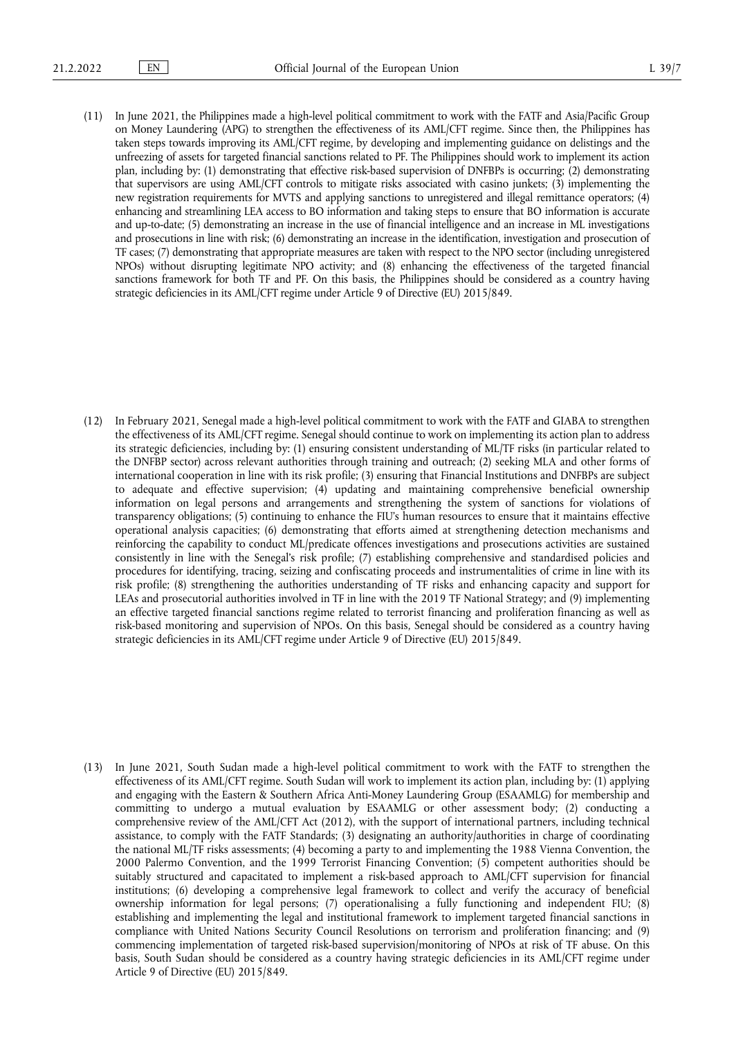(11) In June 2021, the Philippines made a high-level political commitment to work with the FATF and Asia/Pacific Group on Money Laundering (APG) to strengthen the effectiveness of its AML/CFT regime. Since then, the Philippines has taken steps towards improving its AML/CFT regime, by developing and implementing guidance on delistings and the unfreezing of assets for targeted financial sanctions related to PF. The Philippines should work to implement its action plan, including by: (1) demonstrating that effective risk-based supervision of DNFBPs is occurring; (2) demonstrating that supervisors are using AML/CFT controls to mitigate risks associated with casino junkets; (3) implementing the new registration requirements for MVTS and applying sanctions to unregistered and illegal remittance operators; (4) enhancing and streamlining LEA access to BO information and taking steps to ensure that BO information is accurate and up-to-date; (5) demonstrating an increase in the use of financial intelligence and an increase in ML investigations and prosecutions in line with risk; (6) demonstrating an increase in the identification, investigation and prosecution of TF cases; (7) demonstrating that appropriate measures are taken with respect to the NPO sector (including unregistered NPOs) without disrupting legitimate NPO activity; and (8) enhancing the effectiveness of the targeted financial sanctions framework for both TF and PF. On this basis, the Philippines should be considered as a country having strategic deficiencies in its AML/CFT regime under Article 9 of Directive (EU) 2015/849.

(12) In February 2021, Senegal made a high-level political commitment to work with the FATF and GIABA to strengthen the effectiveness of its AML/CFT regime. Senegal should continue to work on implementing its action plan to address its strategic deficiencies, including by: (1) ensuring consistent understanding of ML/TF risks (in particular related to the DNFBP sector) across relevant authorities through training and outreach; (2) seeking MLA and other forms of international cooperation in line with its risk profile; (3) ensuring that Financial Institutions and DNFBPs are subject to adequate and effective supervision; (4) updating and maintaining comprehensive beneficial ownership information on legal persons and arrangements and strengthening the system of sanctions for violations of transparency obligations; (5) continuing to enhance the FIU's human resources to ensure that it maintains effective operational analysis capacities; (6) demonstrating that efforts aimed at strengthening detection mechanisms and reinforcing the capability to conduct ML/predicate offences investigations and prosecutions activities are sustained consistently in line with the Senegal's risk profile; (7) establishing comprehensive and standardised policies and procedures for identifying, tracing, seizing and confiscating proceeds and instrumentalities of crime in line with its risk profile; (8) strengthening the authorities understanding of TF risks and enhancing capacity and support for LEAs and prosecutorial authorities involved in TF in line with the 2019 TF National Strategy; and (9) implementing an effective targeted financial sanctions regime related to terrorist financing and proliferation financing as well as risk-based monitoring and supervision of NPOs. On this basis, Senegal should be considered as a country having strategic deficiencies in its AML/CFT regime under Article 9 of Directive (EU) 2015/849.

(13) In June 2021, South Sudan made a high-level political commitment to work with the FATF to strengthen the effectiveness of its AML/CFT regime. South Sudan will work to implement its action plan, including by: (1) applying and engaging with the Eastern & Southern Africa Anti-Money Laundering Group (ESAAMLG) for membership and committing to undergo a mutual evaluation by ESAAMLG or other assessment body; (2) conducting a comprehensive review of the AML/CFT Act (2012), with the support of international partners, including technical assistance, to comply with the FATF Standards; (3) designating an authority/authorities in charge of coordinating the national ML/TF risks assessments; (4) becoming a party to and implementing the 1988 Vienna Convention, the 2000 Palermo Convention, and the 1999 Terrorist Financing Convention; (5) competent authorities should be suitably structured and capacitated to implement a risk-based approach to AML/CFT supervision for financial institutions; (6) developing a comprehensive legal framework to collect and verify the accuracy of beneficial ownership information for legal persons; (7) operationalising a fully functioning and independent FIU; (8) establishing and implementing the legal and institutional framework to implement targeted financial sanctions in compliance with United Nations Security Council Resolutions on terrorism and proliferation financing; and (9) commencing implementation of targeted risk-based supervision/monitoring of NPOs at risk of TF abuse. On this basis, South Sudan should be considered as a country having strategic deficiencies in its AML/CFT regime under Article 9 of Directive (EU) 2015/849.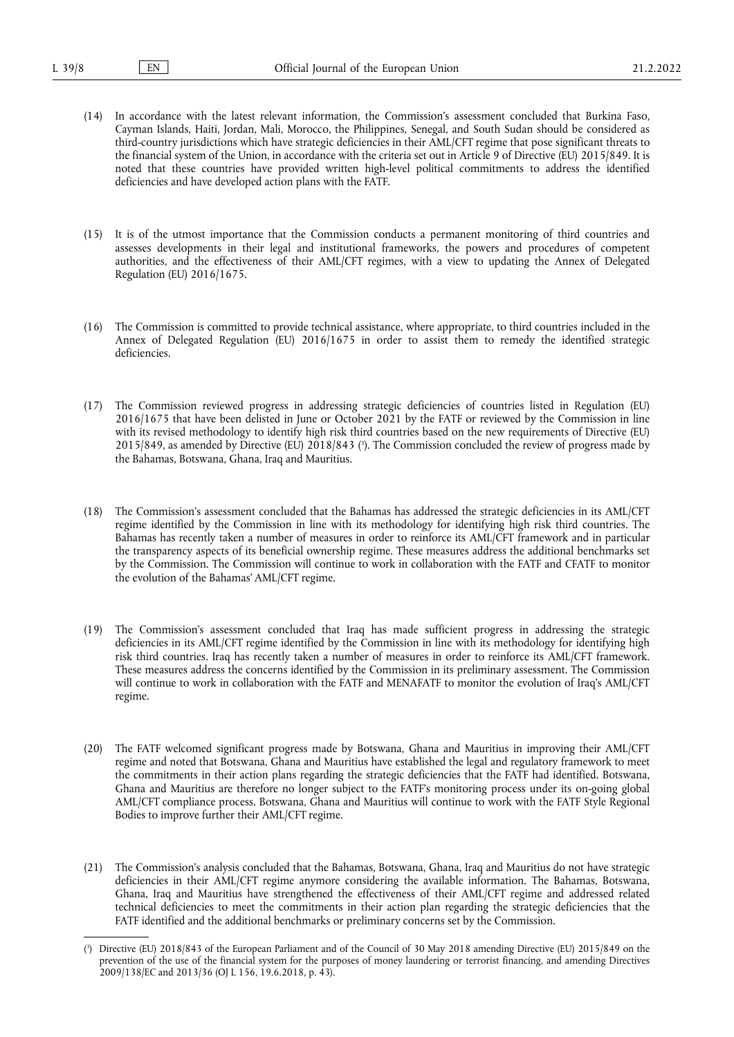- (14) In accordance with the latest relevant information, the Commission's assessment concluded that Burkina Faso, Cayman Islands, Haiti, Jordan, Mali, Morocco, the Philippines, Senegal, and South Sudan should be considered as third-country jurisdictions which have strategic deficiencies in their AML/CFT regime that pose significant threats to the financial system of the Union, in accordance with the criteria set out in Article 9 of Directive (EU) 2015/849. It is noted that these countries have provided written high-level political commitments to address the identified deficiencies and have developed action plans with the FATF.
- (15) It is of the utmost importance that the Commission conducts a permanent monitoring of third countries and assesses developments in their legal and institutional frameworks, the powers and procedures of competent authorities, and the effectiveness of their AML/CFT regimes, with a view to updating the Annex of Delegated Regulation (EU) 2016/1675.
- (16) The Commission is committed to provide technical assistance, where appropriate, to third countries included in the Annex of Delegated Regulation (EU) 2016/1675 in order to assist them to remedy the identified strategic deficiencies.
- <span id="page-4-1"></span>(17) The Commission reviewed progress in addressing strategic deficiencies of countries listed in Regulation (EU) 2016/1675 that have been delisted in June or October 2021 by the FATF or reviewed by the Commission in line with its revised methodology to identify high risk third countries based on the new requirements of Directive (EU) 2015/849, as amended by Directive (EU) 2018/843 [\(](#page-4-0) 3 ). The Commission concluded the review of progress made by the Bahamas, Botswana, Ghana, Iraq and Mauritius.
- (18) The Commission's assessment concluded that the Bahamas has addressed the strategic deficiencies in its AML/CFT regime identified by the Commission in line with its methodology for identifying high risk third countries. The Bahamas has recently taken a number of measures in order to reinforce its AML/CFT framework and in particular the transparency aspects of its beneficial ownership regime. These measures address the additional benchmarks set by the Commission. The Commission will continue to work in collaboration with the FATF and CFATF to monitor the evolution of the Bahamas' AML/CFT regime.
- (19) The Commission's assessment concluded that Iraq has made sufficient progress in addressing the strategic deficiencies in its AML/CFT regime identified by the Commission in line with its methodology for identifying high risk third countries. Iraq has recently taken a number of measures in order to reinforce its AML/CFT framework. These measures address the concerns identified by the Commission in its preliminary assessment. The Commission will continue to work in collaboration with the FATF and MENAFATF to monitor the evolution of Iraq's AML/CFT regime.
- (20) The FATF welcomed significant progress made by Botswana, Ghana and Mauritius in improving their AML/CFT regime and noted that Botswana, Ghana and Mauritius have established the legal and regulatory framework to meet the commitments in their action plans regarding the strategic deficiencies that the FATF had identified. Botswana, Ghana and Mauritius are therefore no longer subject to the FATF's monitoring process under its on-going global AML/CFT compliance process. Botswana, Ghana and Mauritius will continue to work with the FATF Style Regional Bodies to improve further their AML/CFT regime.
- (21) The Commission's analysis concluded that the Bahamas, Botswana, Ghana, Iraq and Mauritius do not have strategic deficiencies in their AML/CFT regime anymore considering the available information. The Bahamas, Botswana, Ghana, Iraq and Mauritius have strengthened the effectiveness of their AML/CFT regime and addressed related technical deficiencies to meet the commitments in their action plan regarding the strategic deficiencies that the FATF identified and the additional benchmarks or preliminary concerns set by the Commission.

<span id="page-4-0"></span>[<sup>\(</sup>](#page-4-1) 3 ) Directive (EU) 2018/843 of the European Parliament and of the Council of 30 May 2018 amending Directive (EU) 2015/849 on the prevention of the use of the financial system for the purposes of money laundering or terrorist financing, and amending Directives 2009/138/EC and 2013/36 (OJ L 156, 19.6.2018, p. 43).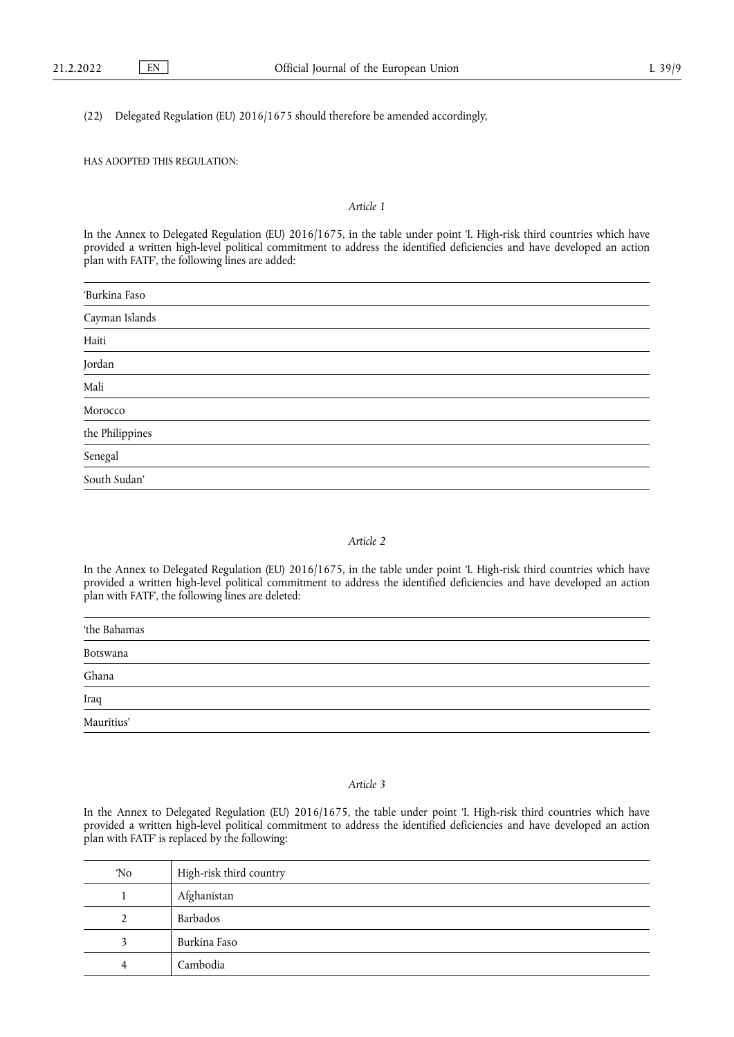(22) Delegated Regulation (EU) 2016/1675 should therefore be amended accordingly,

# HAS ADOPTED THIS REGULATION:

### *Article 1*

In the Annex to Delegated Regulation (EU) 2016/1675, in the table under point 'I. High-risk third countries which have provided a written high-level political commitment to address the identified deficiencies and have developed an action plan with FATF', the following lines are added:

| 'Burkina Faso                    |  |
|----------------------------------|--|
| Cayman Islands                   |  |
|                                  |  |
| Haiti<br>Jordan                  |  |
| Mali                             |  |
| Morocco                          |  |
| the $\operatorname{Philippines}$ |  |
| Senegal                          |  |
| South Sudan'                     |  |

#### *Article 2*

In the Annex to Delegated Regulation (EU) 2016/1675, in the table under point 'I. High-risk third countries which have provided a written high-level political commitment to address the identified deficiencies and have developed an action plan with FATF', the following lines are deleted:

# *Article 3*

In the Annex to Delegated Regulation (EU) 2016/1675, the table under point 'I. High-risk third countries which have provided a written high-level political commitment to address the identified deficiencies and have developed an action plan with FATF' is replaced by the following:

| 'No | High-risk third country |
|-----|-------------------------|
|     | Afghanistan             |
|     | Barbados                |
|     | Burkina Faso            |
|     | Cambodia                |